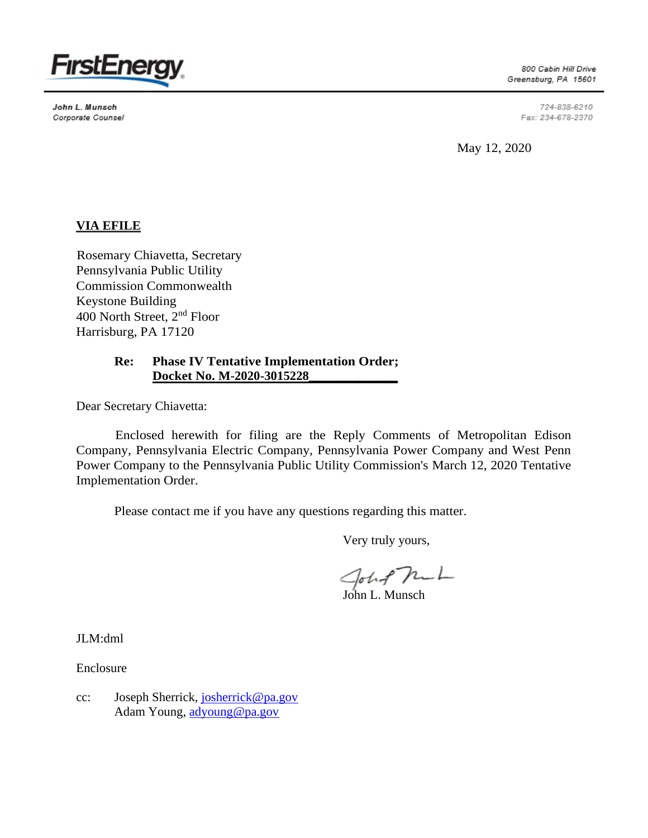

John L. Munsch Corporate Counsel

800 Cabin Hill Drive Greensburg, PA 15601

> 724-838-6210 Fax: 234-678-2370

May 12, 2020

# **VIA EFILE**

Rosemary Chiavetta, Secretary Pennsylvania Public Utility Commission Commonwealth Keystone Building 400 North Street, 2nd Floor Harrisburg, PA 17120

## **Re: Phase IV Tentative Implementation Order; Docket No. M-2020-3015228\_\_\_\_\_\_\_\_\_\_\_\_\_\_**

Dear Secretary Chiavetta:

Enclosed herewith for filing are the Reply Comments of Metropolitan Edison Company, Pennsylvania Electric Company, Pennsylvania Power Company and West Penn Power Company to the Pennsylvania Public Utility Commission's March 12, 2020 Tentative Implementation Order.

Please contact me if you have any questions regarding this matter.

Very truly yours,

John Pm<br>John L. Munsch

JLM:dml

Enclosure

cc: Joseph Sherrick, [josherrick@pa.gov](mailto:josherrick@pa.gov) Adam Young, [adyoung@pa.gov](mailto:adyoung@pa.gov)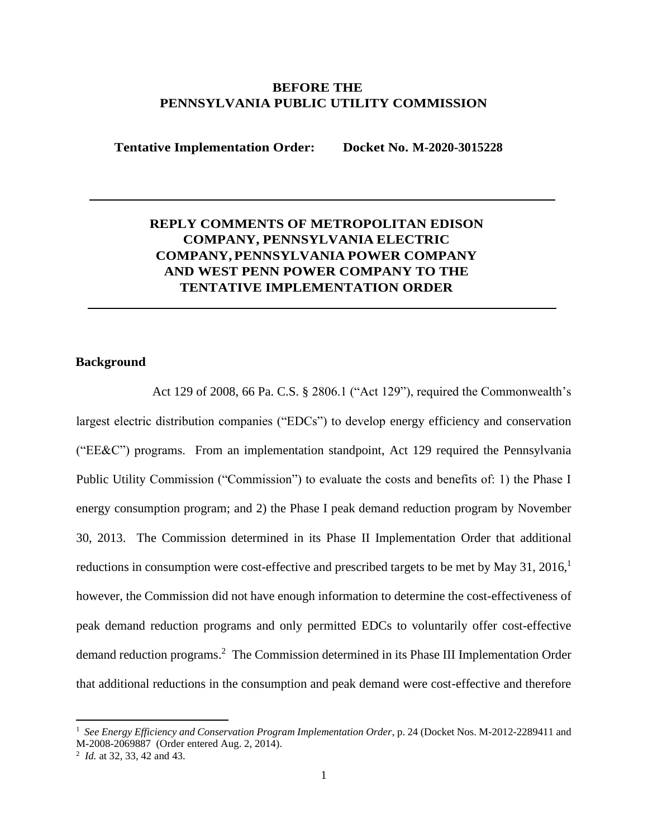## **BEFORE THE PENNSYLVANIA PUBLIC UTILITY COMMISSION**

**Tentative Implementation Order: Docket No. M-2020-3015228**

# **REPLY COMMENTS OF METROPOLITAN EDISON COMPANY, PENNSYLVANIA ELECTRIC COMPANY, PENNSYLVANIA POWER COMPANY AND WEST PENN POWER COMPANY TO THE TENTATIVE IMPLEMENTATION ORDER**

### **Background**

Act 129 of 2008, 66 Pa. C.S. § 2806.1 ("Act 129"), required the Commonwealth's largest electric distribution companies ("EDCs") to develop energy efficiency and conservation ("EE&C") programs. From an implementation standpoint, Act 129 required the Pennsylvania Public Utility Commission ("Commission") to evaluate the costs and benefits of: 1) the Phase I energy consumption program; and 2) the Phase I peak demand reduction program by November 30, 2013. The Commission determined in its Phase II Implementation Order that additional reductions in consumption were cost-effective and prescribed targets to be met by May 31, 2016,<sup>1</sup> however, the Commission did not have enough information to determine the cost-effectiveness of peak demand reduction programs and only permitted EDCs to voluntarily offer cost-effective demand reduction programs. <sup>2</sup> The Commission determined in its Phase III Implementation Order that additional reductions in the consumption and peak demand were cost-effective and therefore

<sup>1</sup> *See Energy Efficiency and Conservation Program Implementation Order*, p. 24 (Docket Nos. M-2012-2289411 and M-2008-2069887 (Order entered Aug. 2, 2014).

<sup>2</sup> *Id.* at 32, 33, 42 and 43.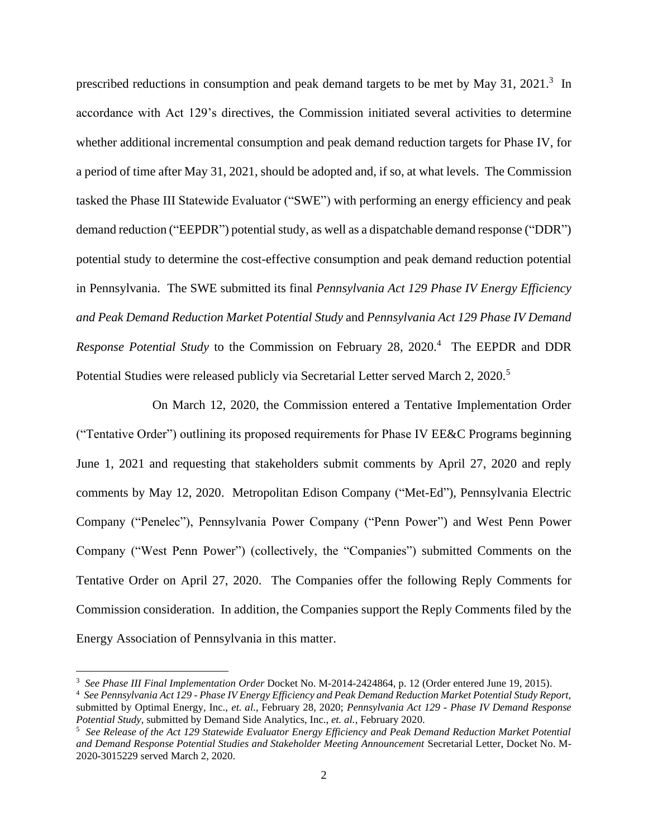prescribed reductions in consumption and peak demand targets to be met by May 31, 2021.<sup>3</sup> In accordance with Act 129's directives, the Commission initiated several activities to determine whether additional incremental consumption and peak demand reduction targets for Phase IV, for a period of time after May 31, 2021, should be adopted and, if so, at what levels. The Commission tasked the Phase III Statewide Evaluator ("SWE") with performing an energy efficiency and peak demand reduction ("EEPDR") potential study, as well as a dispatchable demand response ("DDR") potential study to determine the cost-effective consumption and peak demand reduction potential in Pennsylvania. The SWE submitted its final *Pennsylvania Act 129 Phase IV Energy Efficiency and Peak Demand Reduction Market Potential Study* and *Pennsylvania Act 129 Phase IV Demand Response Potential Study* to the Commission on February 28, 2020.<sup>4</sup> The EEPDR and DDR Potential Studies were released publicly via Secretarial Letter served March 2, 2020.<sup>5</sup>

On March 12, 2020, the Commission entered a Tentative Implementation Order ("Tentative Order") outlining its proposed requirements for Phase IV EE&C Programs beginning June 1, 2021 and requesting that stakeholders submit comments by April 27, 2020 and reply comments by May 12, 2020. Metropolitan Edison Company ("Met-Ed"), Pennsylvania Electric Company ("Penelec"), Pennsylvania Power Company ("Penn Power") and West Penn Power Company ("West Penn Power") (collectively, the "Companies") submitted Comments on the Tentative Order on April 27, 2020. The Companies offer the following Reply Comments for Commission consideration. In addition, the Companies support the Reply Comments filed by the Energy Association of Pennsylvania in this matter.

<sup>3</sup> *See Phase III Final Implementation Order* Docket No. M-2014-2424864, p. 12 (Order entered June 19, 2015).

<sup>4</sup> *See Pennsylvania Act 129 - Phase IV Energy Efficiency and Peak Demand Reduction Market Potential Study Report,*  submitted by Optimal Energy, Inc., *et. al.*, February 28, 2020; *Pennsylvania Act 129 - Phase IV Demand Response Potential Study*, submitted by Demand Side Analytics, Inc., *et. al.*, February 2020.

<sup>5</sup> *See Release of the Act 129 Statewide Evaluator Energy Efficiency and Peak Demand Reduction Market Potential and Demand Response Potential Studies and Stakeholder Meeting Announcement* Secretarial Letter, Docket No. M-2020-3015229 served March 2, 2020.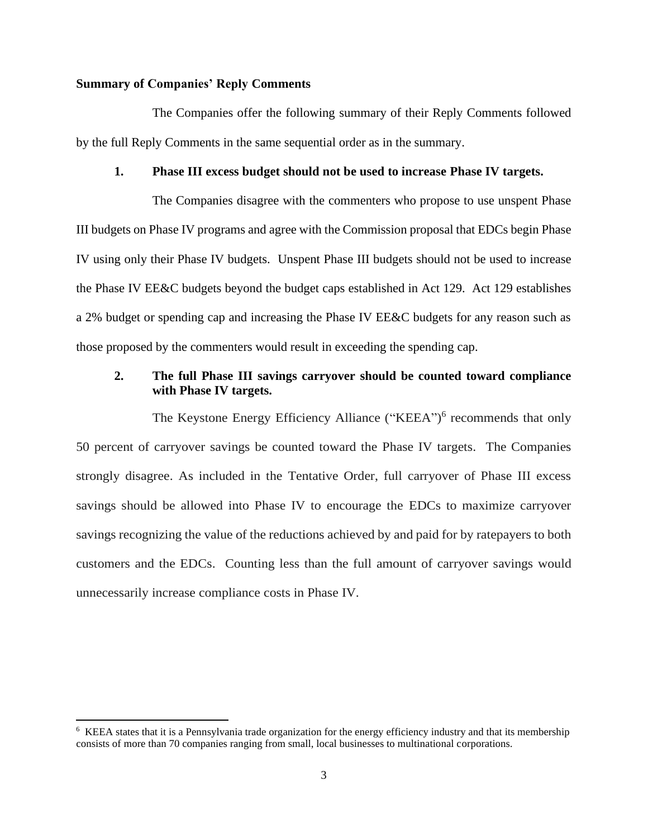### **Summary of Companies' Reply Comments**

The Companies offer the following summary of their Reply Comments followed by the full Reply Comments in the same sequential order as in the summary.

#### **1. Phase III excess budget should not be used to increase Phase IV targets.**

The Companies disagree with the commenters who propose to use unspent Phase III budgets on Phase IV programs and agree with the Commission proposal that EDCs begin Phase IV using only their Phase IV budgets. Unspent Phase III budgets should not be used to increase the Phase IV EE&C budgets beyond the budget caps established in Act 129. Act 129 establishes a 2% budget or spending cap and increasing the Phase IV EE&C budgets for any reason such as those proposed by the commenters would result in exceeding the spending cap.

## **2. The full Phase III savings carryover should be counted toward compliance with Phase IV targets.**

The Keystone Energy Efficiency Alliance ("KEEA")<sup>6</sup> recommends that only 50 percent of carryover savings be counted toward the Phase IV targets. The Companies strongly disagree. As included in the Tentative Order, full carryover of Phase III excess savings should be allowed into Phase IV to encourage the EDCs to maximize carryover savings recognizing the value of the reductions achieved by and paid for by ratepayers to both customers and the EDCs. Counting less than the full amount of carryover savings would unnecessarily increase compliance costs in Phase IV.

<sup>&</sup>lt;sup>6</sup> KEEA states that it is a Pennsylvania trade organization for the energy efficiency industry and that its membership consists of more than 70 companies ranging from small, local businesses to multinational corporations.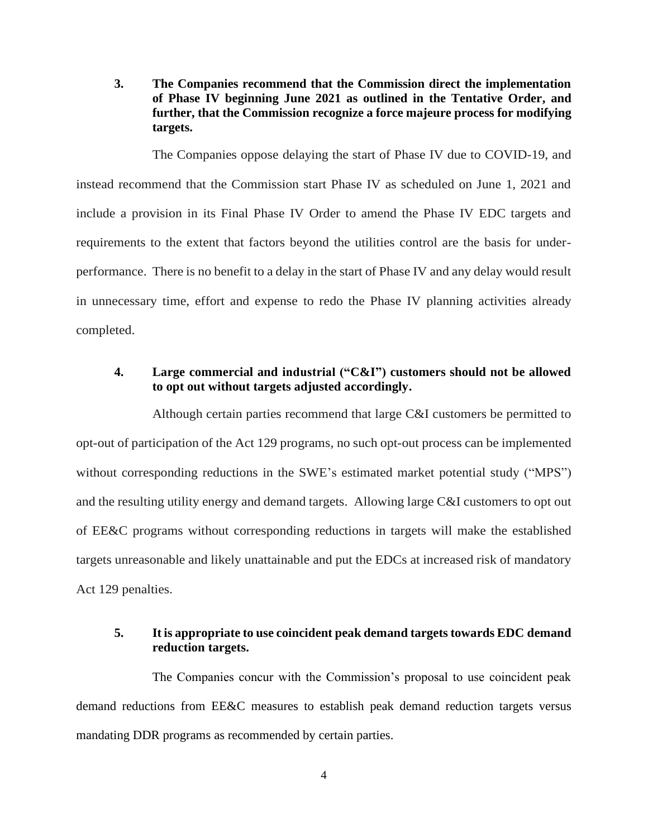**3. The Companies recommend that the Commission direct the implementation of Phase IV beginning June 2021 as outlined in the Tentative Order, and further, that the Commission recognize a force majeure process for modifying targets.**

The Companies oppose delaying the start of Phase IV due to COVID-19, and instead recommend that the Commission start Phase IV as scheduled on June 1, 2021 and include a provision in its Final Phase IV Order to amend the Phase IV EDC targets and requirements to the extent that factors beyond the utilities control are the basis for underperformance. There is no benefit to a delay in the start of Phase IV and any delay would result in unnecessary time, effort and expense to redo the Phase IV planning activities already completed.

## **4. Large commercial and industrial ("C&I") customers should not be allowed to opt out without targets adjusted accordingly.**

Although certain parties recommend that large C&I customers be permitted to opt-out of participation of the Act 129 programs, no such opt-out process can be implemented without corresponding reductions in the SWE's estimated market potential study ("MPS") and the resulting utility energy and demand targets. Allowing large C&I customers to opt out of EE&C programs without corresponding reductions in targets will make the established targets unreasonable and likely unattainable and put the EDCs at increased risk of mandatory Act 129 penalties.

## **5. It is appropriate to use coincident peak demand targets towards EDC demand reduction targets.**

The Companies concur with the Commission's proposal to use coincident peak demand reductions from EE&C measures to establish peak demand reduction targets versus mandating DDR programs as recommended by certain parties.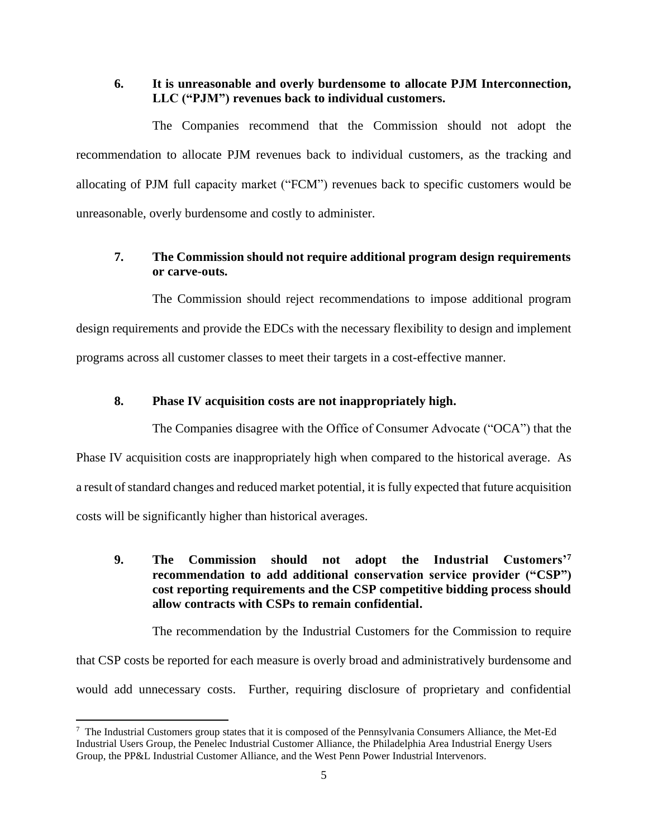## **6. It is unreasonable and overly burdensome to allocate PJM Interconnection, LLC ("PJM") revenues back to individual customers.**

The Companies recommend that the Commission should not adopt the recommendation to allocate PJM revenues back to individual customers, as the tracking and allocating of PJM full capacity market ("FCM") revenues back to specific customers would be unreasonable, overly burdensome and costly to administer.

# **7. The Commission should not require additional program design requirements or carve-outs.**

The Commission should reject recommendations to impose additional program design requirements and provide the EDCs with the necessary flexibility to design and implement programs across all customer classes to meet their targets in a cost-effective manner.

## **8. Phase IV acquisition costs are not inappropriately high.**

The Companies disagree with the Office of Consumer Advocate ("OCA") that the Phase IV acquisition costs are inappropriately high when compared to the historical average. As a result of standard changes and reduced market potential, it is fully expected that future acquisition costs will be significantly higher than historical averages.

# **9. The Commission should not adopt the Industrial Customers'<sup>7</sup> recommendation to add additional conservation service provider ("CSP") cost reporting requirements and the CSP competitive bidding process should allow contracts with CSPs to remain confidential.**

The recommendation by the Industrial Customers for the Commission to require that CSP costs be reported for each measure is overly broad and administratively burdensome and would add unnecessary costs. Further, requiring disclosure of proprietary and confidential

<sup>7</sup> The Industrial Customers group states that it is composed of the Pennsylvania Consumers Alliance, the Met-Ed Industrial Users Group, the Penelec Industrial Customer Alliance, the Philadelphia Area Industrial Energy Users Group, the PP&L Industrial Customer Alliance, and the West Penn Power Industrial Intervenors.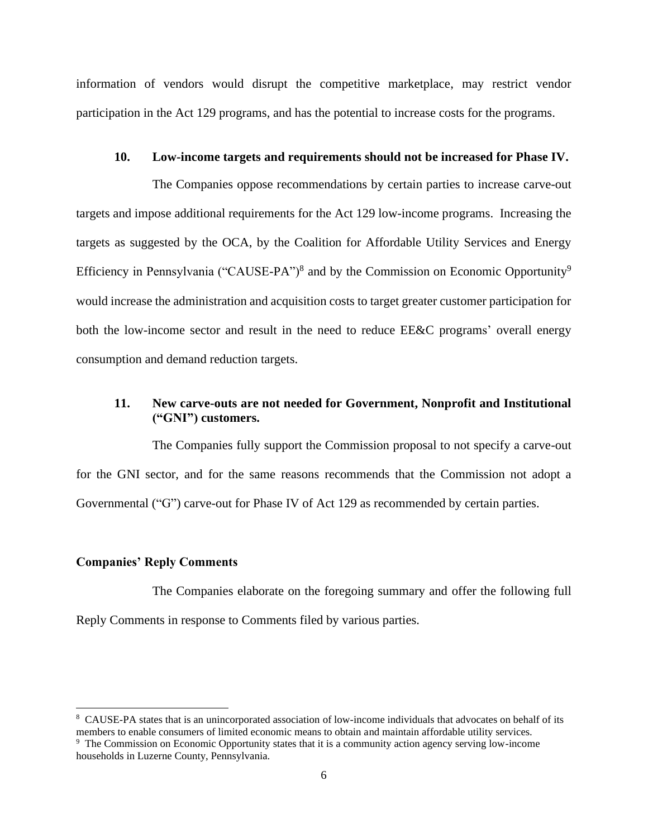information of vendors would disrupt the competitive marketplace, may restrict vendor participation in the Act 129 programs, and has the potential to increase costs for the programs.

#### **10. Low-income targets and requirements should not be increased for Phase IV.**

The Companies oppose recommendations by certain parties to increase carve-out targets and impose additional requirements for the Act 129 low-income programs. Increasing the targets as suggested by the OCA, by the Coalition for Affordable Utility Services and Energy Efficiency in Pennsylvania ("CAUSE-PA")<sup>8</sup> and by the Commission on Economic Opportunity<sup>9</sup> would increase the administration and acquisition costs to target greater customer participation for both the low-income sector and result in the need to reduce EE&C programs' overall energy consumption and demand reduction targets.

# **11. New carve-outs are not needed for Government, Nonprofit and Institutional ("GNI") customers.**

The Companies fully support the Commission proposal to not specify a carve-out for the GNI sector, and for the same reasons recommends that the Commission not adopt a Governmental ("G") carve-out for Phase IV of Act 129 as recommended by certain parties.

### **Companies' Reply Comments**

The Companies elaborate on the foregoing summary and offer the following full Reply Comments in response to Comments filed by various parties.

<sup>&</sup>lt;sup>8</sup> CAUSE-PA states that is an unincorporated association of low-income individuals that advocates on behalf of its members to enable consumers of limited economic means to obtain and maintain affordable utility services.

<sup>9</sup> The Commission on Economic Opportunity states that it is a community action agency serving low-income households in Luzerne County, Pennsylvania.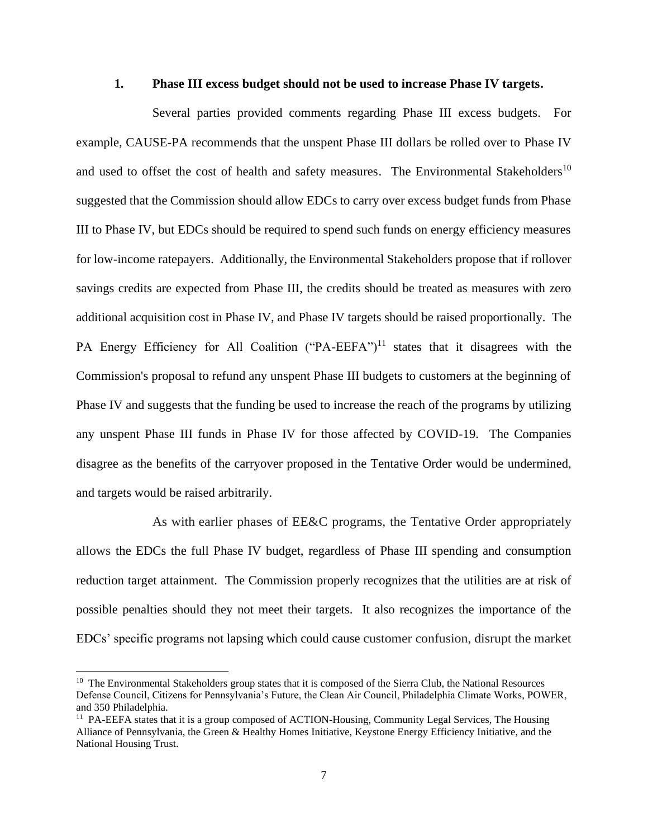#### **1. Phase III excess budget should not be used to increase Phase IV targets.**

Several parties provided comments regarding Phase III excess budgets. For example, CAUSE-PA recommends that the unspent Phase III dollars be rolled over to Phase IV and used to offset the cost of health and safety measures. The Environmental Stakeholders<sup>10</sup> suggested that the Commission should allow EDCs to carry over excess budget funds from Phase III to Phase IV, but EDCs should be required to spend such funds on energy efficiency measures for low-income ratepayers. Additionally, the Environmental Stakeholders propose that if rollover savings credits are expected from Phase III, the credits should be treated as measures with zero additional acquisition cost in Phase IV, and Phase IV targets should be raised proportionally. The PA Energy Efficiency for All Coalition ("PA-EEFA")<sup>11</sup> states that it disagrees with the Commission's proposal to refund any unspent Phase III budgets to customers at the beginning of Phase IV and suggests that the funding be used to increase the reach of the programs by utilizing any unspent Phase III funds in Phase IV for those affected by COVID-19. The Companies disagree as the benefits of the carryover proposed in the Tentative Order would be undermined, and targets would be raised arbitrarily.

As with earlier phases of EE&C programs, the Tentative Order appropriately allows the EDCs the full Phase IV budget, regardless of Phase III spending and consumption reduction target attainment. The Commission properly recognizes that the utilities are at risk of possible penalties should they not meet their targets. It also recognizes the importance of the EDCs' specific programs not lapsing which could cause customer confusion, disrupt the market

<sup>&</sup>lt;sup>10</sup> The Environmental Stakeholders group states that it is composed of the Sierra Club, the National Resources Defense Council, Citizens for Pennsylvania's Future, the Clean Air Council, Philadelphia Climate Works, POWER, and 350 Philadelphia.

<sup>&</sup>lt;sup>11</sup> PA-EEFA states that it is a group composed of ACTION-Housing, Community Legal Services, The Housing Alliance of Pennsylvania, the Green & Healthy Homes Initiative, Keystone Energy Efficiency Initiative, and the National Housing Trust.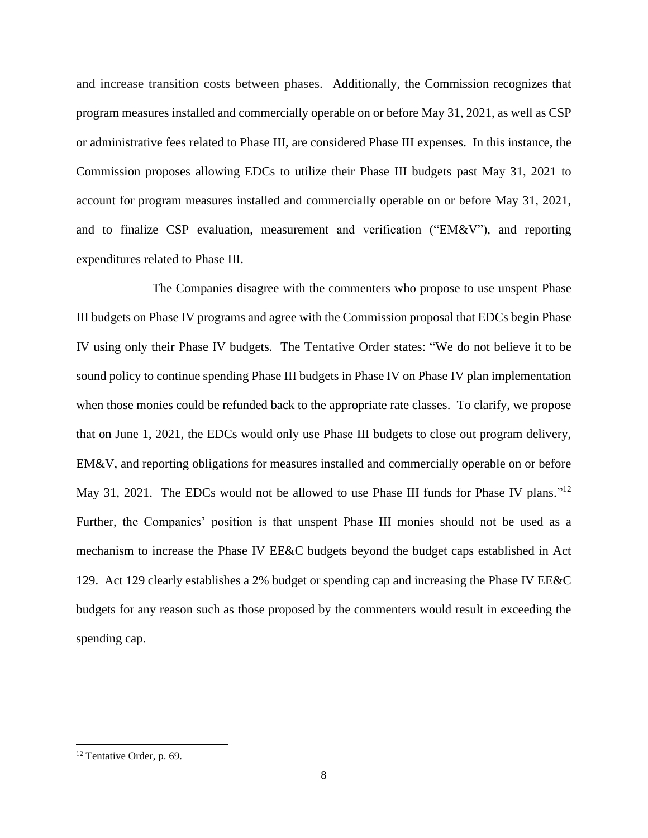and increase transition costs between phases. Additionally, the Commission recognizes that program measures installed and commercially operable on or before May 31, 2021, as well as CSP or administrative fees related to Phase III, are considered Phase III expenses. In this instance, the Commission proposes allowing EDCs to utilize their Phase III budgets past May 31, 2021 to account for program measures installed and commercially operable on or before May 31, 2021, and to finalize CSP evaluation, measurement and verification ("EM&V"), and reporting expenditures related to Phase III.

The Companies disagree with the commenters who propose to use unspent Phase III budgets on Phase IV programs and agree with the Commission proposal that EDCs begin Phase IV using only their Phase IV budgets. The Tentative Order states: "We do not believe it to be sound policy to continue spending Phase III budgets in Phase IV on Phase IV plan implementation when those monies could be refunded back to the appropriate rate classes. To clarify, we propose that on June 1, 2021, the EDCs would only use Phase III budgets to close out program delivery, EM&V, and reporting obligations for measures installed and commercially operable on or before May 31, 2021. The EDCs would not be allowed to use Phase III funds for Phase IV plans."<sup>12</sup> Further, the Companies' position is that unspent Phase III monies should not be used as a mechanism to increase the Phase IV EE&C budgets beyond the budget caps established in Act 129. Act 129 clearly establishes a 2% budget or spending cap and increasing the Phase IV EE&C budgets for any reason such as those proposed by the commenters would result in exceeding the spending cap.

<sup>12</sup> Tentative Order, p. 69.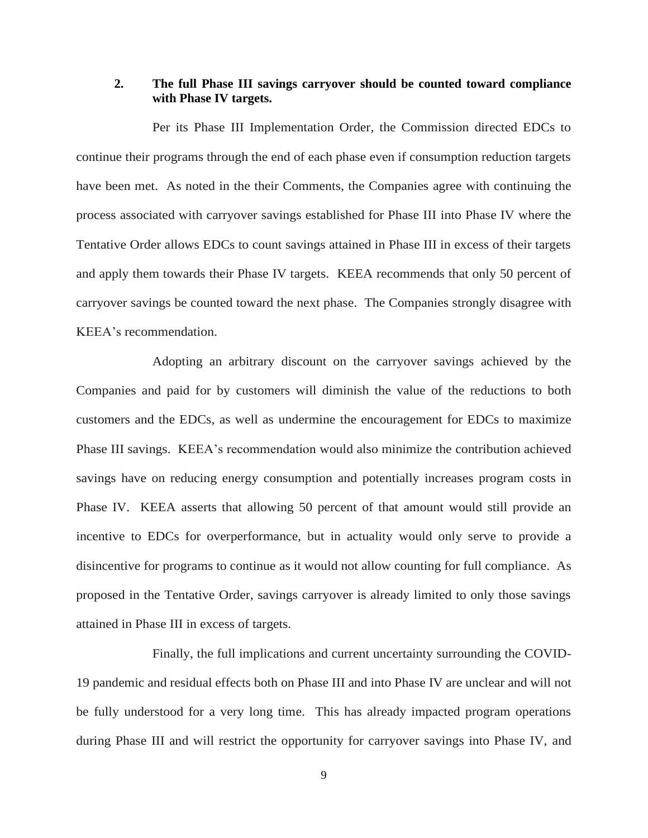## **2. The full Phase III savings carryover should be counted toward compliance with Phase IV targets.**

Per its Phase III Implementation Order, the Commission directed EDCs to continue their programs through the end of each phase even if consumption reduction targets have been met. As noted in the their Comments, the Companies agree with continuing the process associated with carryover savings established for Phase III into Phase IV where the Tentative Order allows EDCs to count savings attained in Phase III in excess of their targets and apply them towards their Phase IV targets. KEEA recommends that only 50 percent of carryover savings be counted toward the next phase. The Companies strongly disagree with KEEA's recommendation.

Adopting an arbitrary discount on the carryover savings achieved by the Companies and paid for by customers will diminish the value of the reductions to both customers and the EDCs, as well as undermine the encouragement for EDCs to maximize Phase III savings. KEEA's recommendation would also minimize the contribution achieved savings have on reducing energy consumption and potentially increases program costs in Phase IV. KEEA asserts that allowing 50 percent of that amount would still provide an incentive to EDCs for overperformance, but in actuality would only serve to provide a disincentive for programs to continue as it would not allow counting for full compliance. As proposed in the Tentative Order, savings carryover is already limited to only those savings attained in Phase III in excess of targets.

Finally, the full implications and current uncertainty surrounding the COVID-19 pandemic and residual effects both on Phase III and into Phase IV are unclear and will not be fully understood for a very long time. This has already impacted program operations during Phase III and will restrict the opportunity for carryover savings into Phase IV, and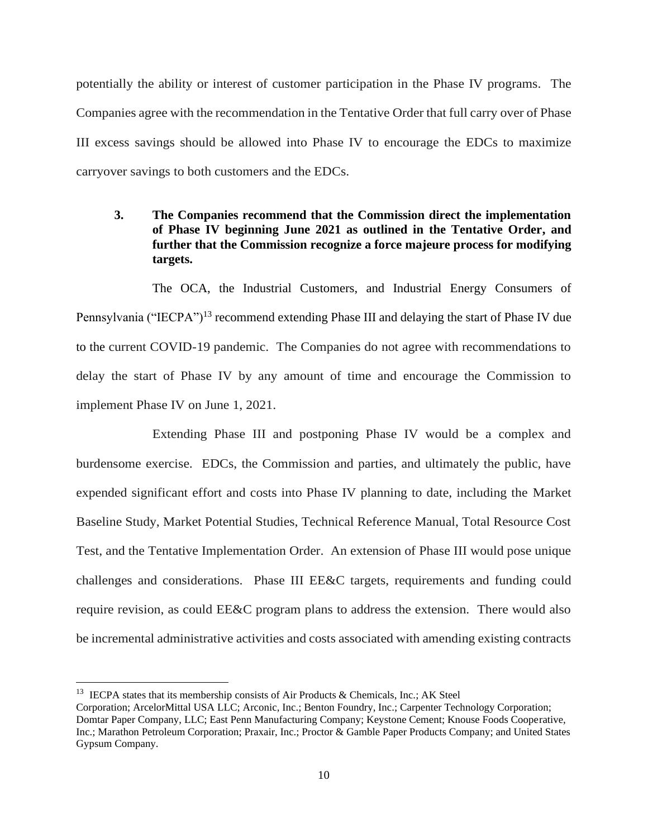potentially the ability or interest of customer participation in the Phase IV programs. The Companies agree with the recommendation in the Tentative Order that full carry over of Phase III excess savings should be allowed into Phase IV to encourage the EDCs to maximize carryover savings to both customers and the EDCs.

**3. The Companies recommend that the Commission direct the implementation of Phase IV beginning June 2021 as outlined in the Tentative Order, and further that the Commission recognize a force majeure process for modifying targets.**

The OCA, the Industrial Customers, and Industrial Energy Consumers of Pennsylvania ("IECPA")<sup>13</sup> recommend extending Phase III and delaying the start of Phase IV due to the current COVID-19 pandemic. The Companies do not agree with recommendations to delay the start of Phase IV by any amount of time and encourage the Commission to implement Phase IV on June 1, 2021.

Extending Phase III and postponing Phase IV would be a complex and burdensome exercise. EDCs, the Commission and parties, and ultimately the public, have expended significant effort and costs into Phase IV planning to date, including the Market Baseline Study, Market Potential Studies, Technical Reference Manual, Total Resource Cost Test, and the Tentative Implementation Order. An extension of Phase III would pose unique challenges and considerations. Phase III EE&C targets, requirements and funding could require revision, as could EE&C program plans to address the extension. There would also be incremental administrative activities and costs associated with amending existing contracts

<sup>&</sup>lt;sup>13</sup> IECPA states that its membership consists of Air Products & Chemicals, Inc.; AK Steel

Corporation; ArcelorMittal USA LLC; Arconic, Inc.; Benton Foundry, Inc.; Carpenter Technology Corporation; Domtar Paper Company, LLC; East Penn Manufacturing Company; Keystone Cement; Knouse Foods Cooperative, Inc.; Marathon Petroleum Corporation; Praxair, Inc.; Proctor & Gamble Paper Products Company; and United States Gypsum Company.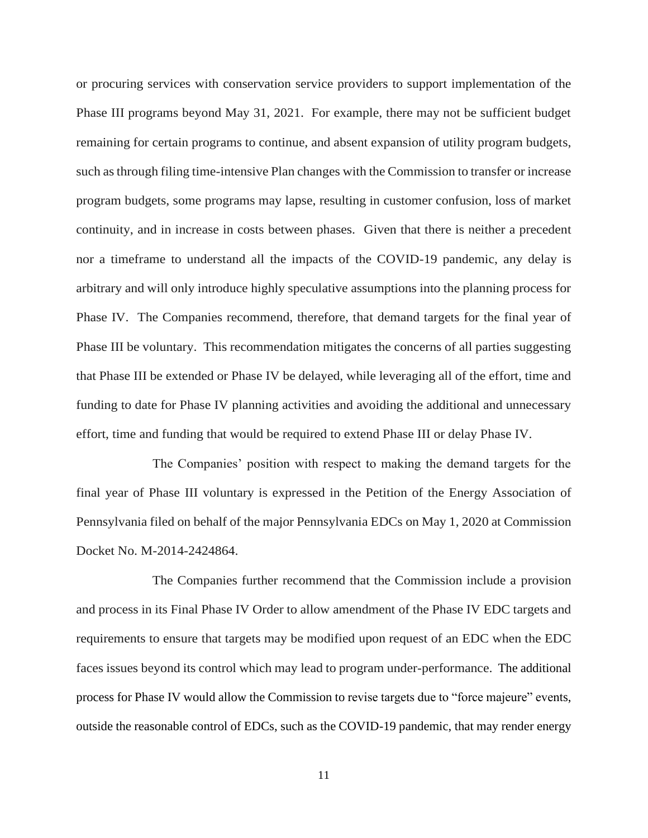or procuring services with conservation service providers to support implementation of the Phase III programs beyond May 31, 2021. For example, there may not be sufficient budget remaining for certain programs to continue, and absent expansion of utility program budgets, such as through filing time-intensive Plan changes with the Commission to transfer or increase program budgets, some programs may lapse, resulting in customer confusion, loss of market continuity, and in increase in costs between phases. Given that there is neither a precedent nor a timeframe to understand all the impacts of the COVID-19 pandemic, any delay is arbitrary and will only introduce highly speculative assumptions into the planning process for Phase IV. The Companies recommend, therefore, that demand targets for the final year of Phase III be voluntary. This recommendation mitigates the concerns of all parties suggesting that Phase III be extended or Phase IV be delayed, while leveraging all of the effort, time and funding to date for Phase IV planning activities and avoiding the additional and unnecessary effort, time and funding that would be required to extend Phase III or delay Phase IV.

The Companies' position with respect to making the demand targets for the final year of Phase III voluntary is expressed in the Petition of the Energy Association of Pennsylvania filed on behalf of the major Pennsylvania EDCs on May 1, 2020 at Commission Docket No. M-2014-2424864.

The Companies further recommend that the Commission include a provision and process in its Final Phase IV Order to allow amendment of the Phase IV EDC targets and requirements to ensure that targets may be modified upon request of an EDC when the EDC faces issues beyond its control which may lead to program under-performance. The additional process for Phase IV would allow the Commission to revise targets due to "force majeure" events, outside the reasonable control of EDCs, such as the COVID-19 pandemic, that may render energy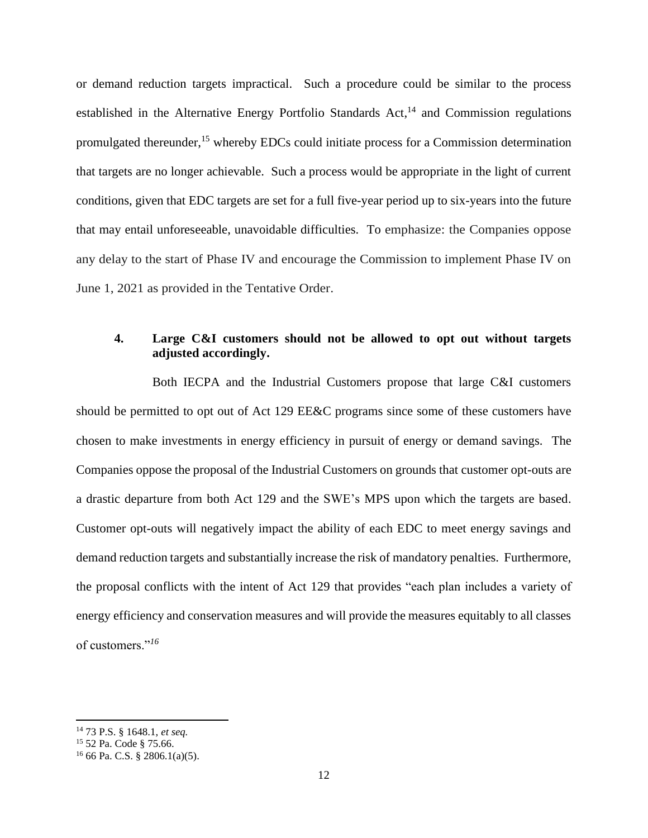or demand reduction targets impractical. Such a procedure could be similar to the process established in the Alternative Energy Portfolio Standards Act,<sup>14</sup> and Commission regulations promulgated thereunder,<sup>15</sup> whereby EDCs could initiate process for a Commission determination that targets are no longer achievable. Such a process would be appropriate in the light of current conditions, given that EDC targets are set for a full five-year period up to six-years into the future that may entail unforeseeable, unavoidable difficulties. To emphasize: the Companies oppose any delay to the start of Phase IV and encourage the Commission to implement Phase IV on June 1, 2021 as provided in the Tentative Order.

## **4. Large C&I customers should not be allowed to opt out without targets adjusted accordingly.**

Both IECPA and the Industrial Customers propose that large C&I customers should be permitted to opt out of Act 129 EE&C programs since some of these customers have chosen to make investments in energy efficiency in pursuit of energy or demand savings. The Companies oppose the proposal of the Industrial Customers on grounds that customer opt-outs are a drastic departure from both Act 129 and the SWE's MPS upon which the targets are based. Customer opt-outs will negatively impact the ability of each EDC to meet energy savings and demand reduction targets and substantially increase the risk of mandatory penalties. Furthermore, the proposal conflicts with the intent of Act 129 that provides "each plan includes a variety of energy efficiency and conservation measures and will provide the measures equitably to all classes of customers."*<sup>16</sup>*

<sup>14</sup> 73 P.S. § 1648.1, *et seq.*

<sup>15</sup> 52 Pa. Code § 75.66.

 $16$  66 Pa. C.S. § 2806.1(a)(5).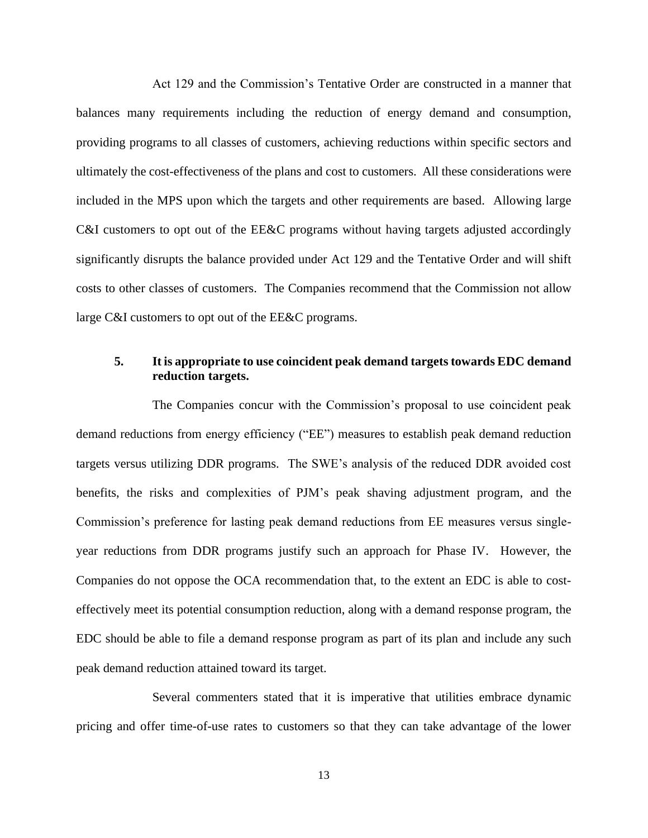Act 129 and the Commission's Tentative Order are constructed in a manner that balances many requirements including the reduction of energy demand and consumption, providing programs to all classes of customers, achieving reductions within specific sectors and ultimately the cost-effectiveness of the plans and cost to customers. All these considerations were included in the MPS upon which the targets and other requirements are based. Allowing large C&I customers to opt out of the EE&C programs without having targets adjusted accordingly significantly disrupts the balance provided under Act 129 and the Tentative Order and will shift costs to other classes of customers. The Companies recommend that the Commission not allow large C&I customers to opt out of the EE&C programs.

## **5. It is appropriate to use coincident peak demand targets towards EDC demand reduction targets.**

The Companies concur with the Commission's proposal to use coincident peak demand reductions from energy efficiency ("EE") measures to establish peak demand reduction targets versus utilizing DDR programs. The SWE's analysis of the reduced DDR avoided cost benefits, the risks and complexities of PJM's peak shaving adjustment program, and the Commission's preference for lasting peak demand reductions from EE measures versus singleyear reductions from DDR programs justify such an approach for Phase IV. However, the Companies do not oppose the OCA recommendation that, to the extent an EDC is able to costeffectively meet its potential consumption reduction, along with a demand response program, the EDC should be able to file a demand response program as part of its plan and include any such peak demand reduction attained toward its target.

Several commenters stated that it is imperative that utilities embrace dynamic pricing and offer time-of-use rates to customers so that they can take advantage of the lower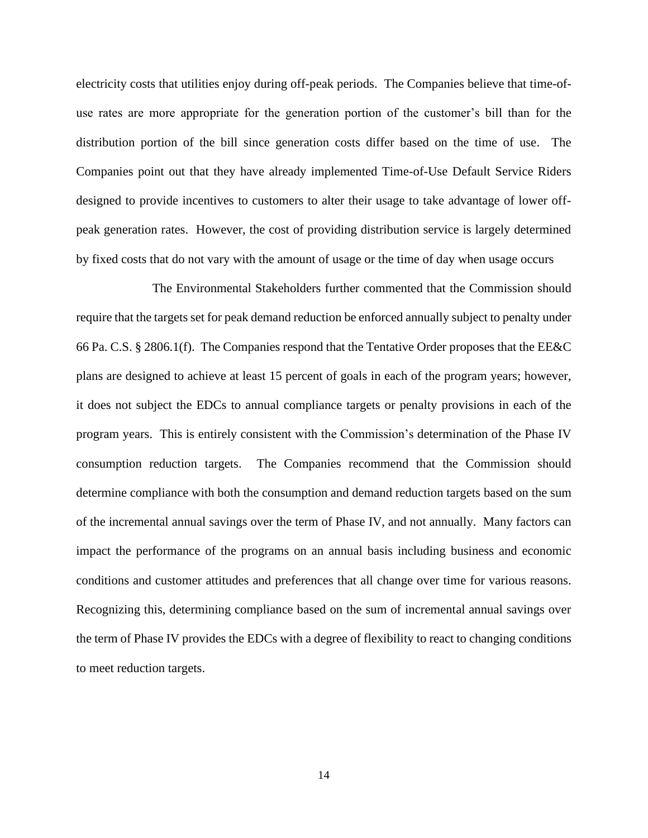electricity costs that utilities enjoy during off-peak periods. The Companies believe that time-ofuse rates are more appropriate for the generation portion of the customer's bill than for the distribution portion of the bill since generation costs differ based on the time of use. The Companies point out that they have already implemented Time-of-Use Default Service Riders designed to provide incentives to customers to alter their usage to take advantage of lower offpeak generation rates. However, the cost of providing distribution service is largely determined by fixed costs that do not vary with the amount of usage or the time of day when usage occurs

The Environmental Stakeholders further commented that the Commission should require that the targets set for peak demand reduction be enforced annually subject to penalty under 66 Pa. C.S. § 2806.1(f). The Companies respond that the Tentative Order proposes that the EE&C plans are designed to achieve at least 15 percent of goals in each of the program years; however, it does not subject the EDCs to annual compliance targets or penalty provisions in each of the program years. This is entirely consistent with the Commission's determination of the Phase IV consumption reduction targets. The Companies recommend that the Commission should determine compliance with both the consumption and demand reduction targets based on the sum of the incremental annual savings over the term of Phase IV, and not annually. Many factors can impact the performance of the programs on an annual basis including business and economic conditions and customer attitudes and preferences that all change over time for various reasons. Recognizing this, determining compliance based on the sum of incremental annual savings over the term of Phase IV provides the EDCs with a degree of flexibility to react to changing conditions to meet reduction targets.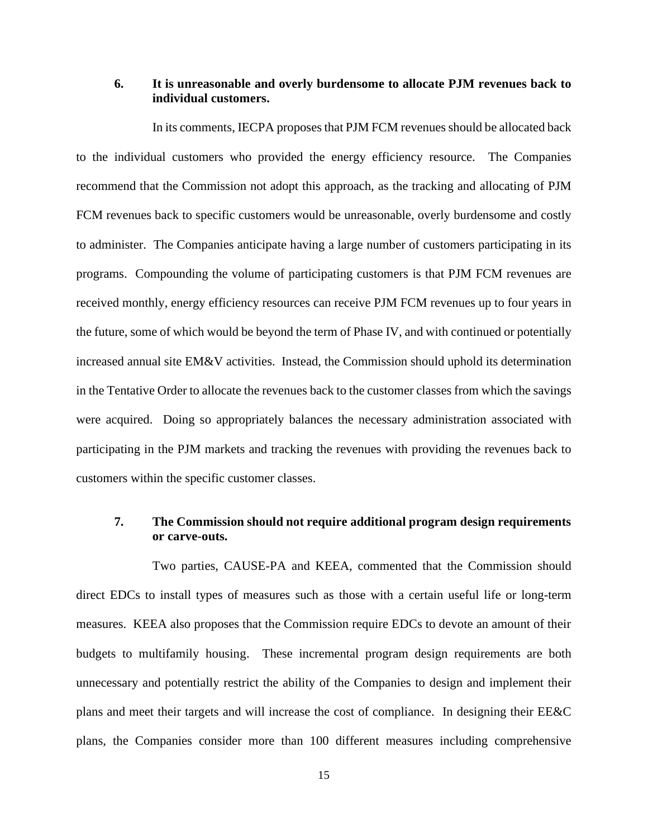## **6. It is unreasonable and overly burdensome to allocate PJM revenues back to individual customers.**

In its comments, IECPA proposes that PJM FCM revenues should be allocated back to the individual customers who provided the energy efficiency resource. The Companies recommend that the Commission not adopt this approach, as the tracking and allocating of PJM FCM revenues back to specific customers would be unreasonable, overly burdensome and costly to administer. The Companies anticipate having a large number of customers participating in its programs. Compounding the volume of participating customers is that PJM FCM revenues are received monthly, energy efficiency resources can receive PJM FCM revenues up to four years in the future, some of which would be beyond the term of Phase IV, and with continued or potentially increased annual site EM&V activities. Instead, the Commission should uphold its determination in the Tentative Order to allocate the revenues back to the customer classes from which the savings were acquired. Doing so appropriately balances the necessary administration associated with participating in the PJM markets and tracking the revenues with providing the revenues back to customers within the specific customer classes.

## **7. The Commission should not require additional program design requirements or carve-outs.**

Two parties, CAUSE-PA and KEEA, commented that the Commission should direct EDCs to install types of measures such as those with a certain useful life or long-term measures. KEEA also proposes that the Commission require EDCs to devote an amount of their budgets to multifamily housing. These incremental program design requirements are both unnecessary and potentially restrict the ability of the Companies to design and implement their plans and meet their targets and will increase the cost of compliance. In designing their EE&C plans, the Companies consider more than 100 different measures including comprehensive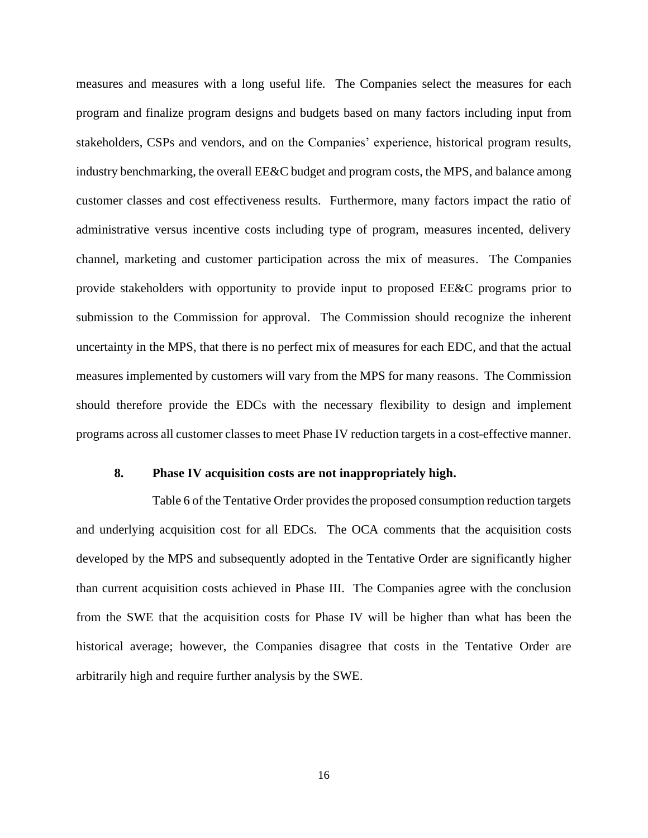measures and measures with a long useful life. The Companies select the measures for each program and finalize program designs and budgets based on many factors including input from stakeholders, CSPs and vendors, and on the Companies' experience, historical program results, industry benchmarking, the overall EE&C budget and program costs, the MPS, and balance among customer classes and cost effectiveness results. Furthermore, many factors impact the ratio of administrative versus incentive costs including type of program, measures incented, delivery channel, marketing and customer participation across the mix of measures. The Companies provide stakeholders with opportunity to provide input to proposed EE&C programs prior to submission to the Commission for approval. The Commission should recognize the inherent uncertainty in the MPS, that there is no perfect mix of measures for each EDC, and that the actual measures implemented by customers will vary from the MPS for many reasons. The Commission should therefore provide the EDCs with the necessary flexibility to design and implement programs across all customer classes to meet Phase IV reduction targets in a cost-effective manner.

## **8. Phase IV acquisition costs are not inappropriately high.**

Table 6 of the Tentative Order provides the proposed consumption reduction targets and underlying acquisition cost for all EDCs. The OCA comments that the acquisition costs developed by the MPS and subsequently adopted in the Tentative Order are significantly higher than current acquisition costs achieved in Phase III. The Companies agree with the conclusion from the SWE that the acquisition costs for Phase IV will be higher than what has been the historical average; however, the Companies disagree that costs in the Tentative Order are arbitrarily high and require further analysis by the SWE.

16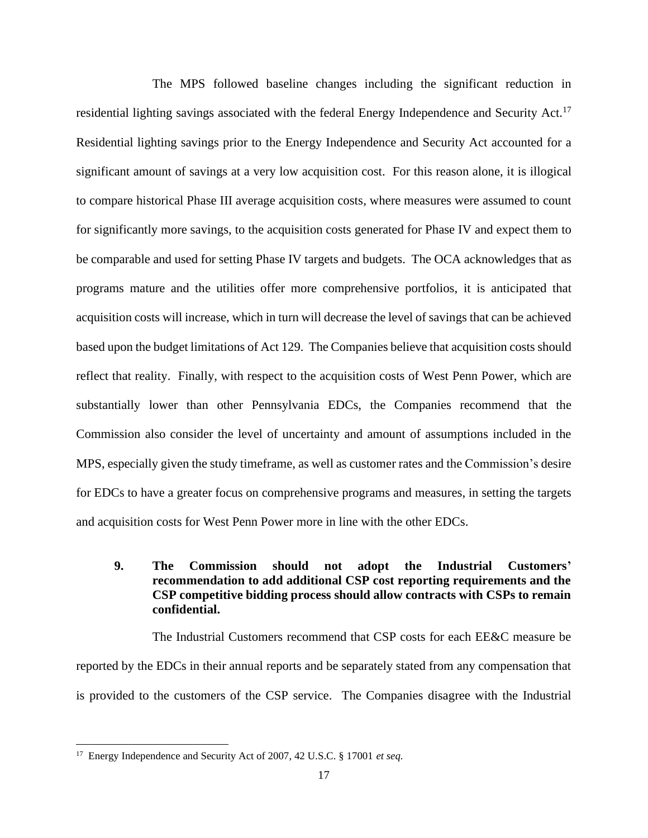The MPS followed baseline changes including the significant reduction in residential lighting savings associated with the federal Energy Independence and Security Act.<sup>17</sup> Residential lighting savings prior to the Energy Independence and Security Act accounted for a significant amount of savings at a very low acquisition cost. For this reason alone, it is illogical to compare historical Phase III average acquisition costs, where measures were assumed to count for significantly more savings, to the acquisition costs generated for Phase IV and expect them to be comparable and used for setting Phase IV targets and budgets. The OCA acknowledges that as programs mature and the utilities offer more comprehensive portfolios, it is anticipated that acquisition costs will increase, which in turn will decrease the level of savings that can be achieved based upon the budget limitations of Act 129. The Companies believe that acquisition costs should reflect that reality. Finally, with respect to the acquisition costs of West Penn Power, which are substantially lower than other Pennsylvania EDCs, the Companies recommend that the Commission also consider the level of uncertainty and amount of assumptions included in the MPS, especially given the study timeframe, as well as customer rates and the Commission's desire for EDCs to have a greater focus on comprehensive programs and measures, in setting the targets and acquisition costs for West Penn Power more in line with the other EDCs.

# **9. The Commission should not adopt the Industrial Customers' recommendation to add additional CSP cost reporting requirements and the CSP competitive bidding process should allow contracts with CSPs to remain confidential.**

The Industrial Customers recommend that CSP costs for each EE&C measure be reported by the EDCs in their annual reports and be separately stated from any compensation that is provided to the customers of the CSP service. The Companies disagree with the Industrial

<sup>17</sup> Energy Independence and Security Act of 2007, 42 U.S.C. § 17001 *et seq.*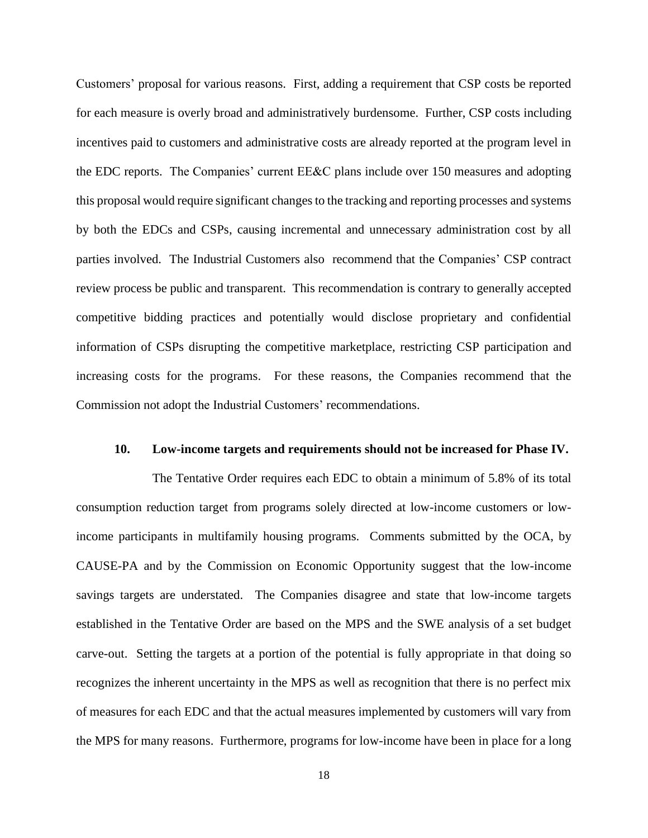Customers' proposal for various reasons. First, adding a requirement that CSP costs be reported for each measure is overly broad and administratively burdensome. Further, CSP costs including incentives paid to customers and administrative costs are already reported at the program level in the EDC reports. The Companies' current EE&C plans include over 150 measures and adopting this proposal would require significant changes to the tracking and reporting processes and systems by both the EDCs and CSPs, causing incremental and unnecessary administration cost by all parties involved. The Industrial Customers also recommend that the Companies' CSP contract review process be public and transparent. This recommendation is contrary to generally accepted competitive bidding practices and potentially would disclose proprietary and confidential information of CSPs disrupting the competitive marketplace, restricting CSP participation and increasing costs for the programs. For these reasons, the Companies recommend that the Commission not adopt the Industrial Customers' recommendations.

#### **10. Low-income targets and requirements should not be increased for Phase IV.**

The Tentative Order requires each EDC to obtain a minimum of 5.8% of its total consumption reduction target from programs solely directed at low-income customers or lowincome participants in multifamily housing programs. Comments submitted by the OCA, by CAUSE-PA and by the Commission on Economic Opportunity suggest that the low-income savings targets are understated. The Companies disagree and state that low-income targets established in the Tentative Order are based on the MPS and the SWE analysis of a set budget carve-out. Setting the targets at a portion of the potential is fully appropriate in that doing so recognizes the inherent uncertainty in the MPS as well as recognition that there is no perfect mix of measures for each EDC and that the actual measures implemented by customers will vary from the MPS for many reasons. Furthermore, programs for low-income have been in place for a long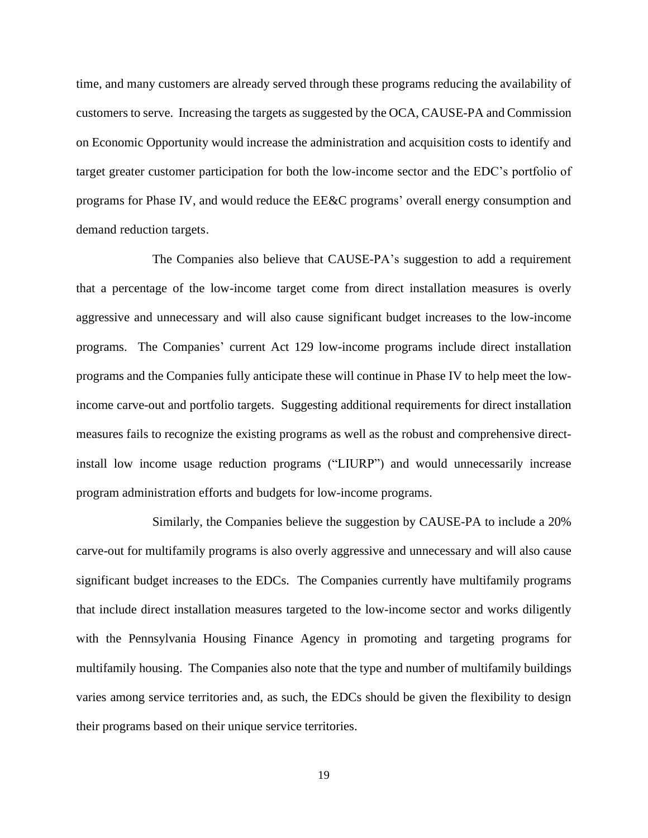time, and many customers are already served through these programs reducing the availability of customers to serve. Increasing the targets as suggested by the OCA, CAUSE-PA and Commission on Economic Opportunity would increase the administration and acquisition costs to identify and target greater customer participation for both the low-income sector and the EDC's portfolio of programs for Phase IV, and would reduce the EE&C programs' overall energy consumption and demand reduction targets.

The Companies also believe that CAUSE-PA's suggestion to add a requirement that a percentage of the low-income target come from direct installation measures is overly aggressive and unnecessary and will also cause significant budget increases to the low-income programs. The Companies' current Act 129 low-income programs include direct installation programs and the Companies fully anticipate these will continue in Phase IV to help meet the lowincome carve-out and portfolio targets. Suggesting additional requirements for direct installation measures fails to recognize the existing programs as well as the robust and comprehensive directinstall low income usage reduction programs ("LIURP") and would unnecessarily increase program administration efforts and budgets for low-income programs.

Similarly, the Companies believe the suggestion by CAUSE-PA to include a 20% carve-out for multifamily programs is also overly aggressive and unnecessary and will also cause significant budget increases to the EDCs. The Companies currently have multifamily programs that include direct installation measures targeted to the low-income sector and works diligently with the Pennsylvania Housing Finance Agency in promoting and targeting programs for multifamily housing. The Companies also note that the type and number of multifamily buildings varies among service territories and, as such, the EDCs should be given the flexibility to design their programs based on their unique service territories.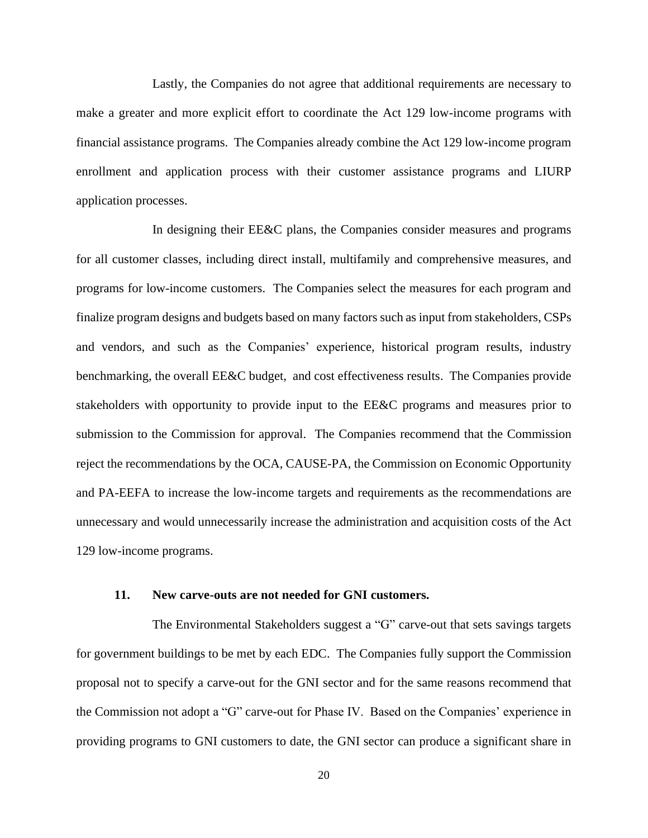Lastly, the Companies do not agree that additional requirements are necessary to make a greater and more explicit effort to coordinate the Act 129 low-income programs with financial assistance programs. The Companies already combine the Act 129 low-income program enrollment and application process with their customer assistance programs and LIURP application processes.

In designing their EE&C plans, the Companies consider measures and programs for all customer classes, including direct install, multifamily and comprehensive measures, and programs for low-income customers. The Companies select the measures for each program and finalize program designs and budgets based on many factors such as input from stakeholders, CSPs and vendors, and such as the Companies' experience, historical program results, industry benchmarking, the overall EE&C budget, and cost effectiveness results. The Companies provide stakeholders with opportunity to provide input to the EE&C programs and measures prior to submission to the Commission for approval. The Companies recommend that the Commission reject the recommendations by the OCA, CAUSE-PA, the Commission on Economic Opportunity and PA-EEFA to increase the low-income targets and requirements as the recommendations are unnecessary and would unnecessarily increase the administration and acquisition costs of the Act 129 low-income programs.

#### **11. New carve-outs are not needed for GNI customers.**

The Environmental Stakeholders suggest a "G" carve-out that sets savings targets for government buildings to be met by each EDC. The Companies fully support the Commission proposal not to specify a carve-out for the GNI sector and for the same reasons recommend that the Commission not adopt a "G" carve-out for Phase IV. Based on the Companies' experience in providing programs to GNI customers to date, the GNI sector can produce a significant share in